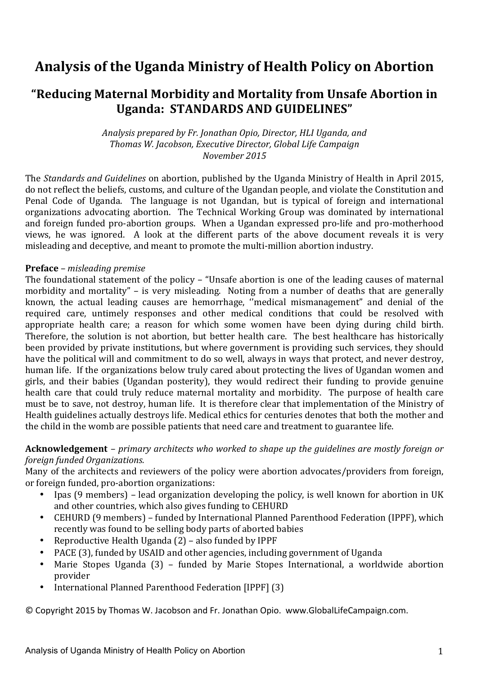# **Analysis of the Uganda Ministry of Health Policy on Abortion**

# **"Reducing Maternal Morbidity and Mortality from Unsafe Abortion in Uganda: STANDARDS AND GUIDELINES"**

Analysis prepared by Fr. Jonathan Opio, Director, HLI Uganda, and *Thomas W. Jacobson, Executive Director, Global Life Campaign November 2015*

The *Standards and Guidelines* on abortion, published by the Uganda Ministry of Health in April 2015, do not reflect the beliefs, customs, and culture of the Ugandan people, and violate the Constitution and Penal Code of Uganda. The language is not Ugandan, but is typical of foreign and international organizations advocating abortion. The Technical Working Group was dominated by international and foreign funded pro-abortion groups. When a Ugandan expressed pro-life and pro-motherhood views, he was ignored. A look at the different parts of the above document reveals it is very misleading and deceptive, and meant to promote the multi-million abortion industry.

#### **Preface** *– misleading premise*

The foundational statement of the policy – "Unsafe abortion is one of the leading causes of maternal morbidity and mortality" – is very misleading. Noting from a number of deaths that are generally known, the actual leading causes are hemorrhage, "medical mismanagement" and denial of the required care, untimely responses and other medical conditions that could be resolved with appropriate health care; a reason for which some women have been dying during child birth. Therefore, the solution is not abortion, but better health care. The best healthcare has historically been provided by private institutions, but where government is providing such services, they should have the political will and commitment to do so well, always in ways that protect, and never destroy, human life. If the organizations below truly cared about protecting the lives of Ugandan women and girls, and their babies (Ugandan posterity), they would redirect their funding to provide genuine health care that could truly reduce maternal mortality and morbidity. The purpose of health care must be to save, not destroy, human life. It is therefore clear that implementation of the Ministry of Health guidelines actually destroys life. Medical ethics for centuries denotes that both the mother and the child in the womb are possible patients that need care and treatment to guarantee life.

#### **Acknowledgement** – *primary architects* who worked to shape up the guidelines are mostly foreign or *foreign funded Organizations.*

Many of the architects and reviewers of the policy were abortion advocates/providers from foreign, or foreign funded, pro-abortion organizations:

- Ipas (9 members) lead organization developing the policy, is well known for abortion in UK and other countries, which also gives funding to CEHURD
- CEHURD (9 members) funded by International Planned Parenthood Federation (IPPF), which recently was found to be selling body parts of aborted babies
- Reproductive Health Uganda  $(2)$  also funded by IPPF
- PACE (3), funded by USAID and other agencies, including government of Uganda
- Marie Stopes Uganda (3) funded by Marie Stopes International, a worldwide abortion provider
- International Planned Parenthood Federation [IPPF] (3)

© Copyright 2015 by Thomas W. Jacobson and Fr. Jonathan Opio. www.GlobalLifeCampaign.com.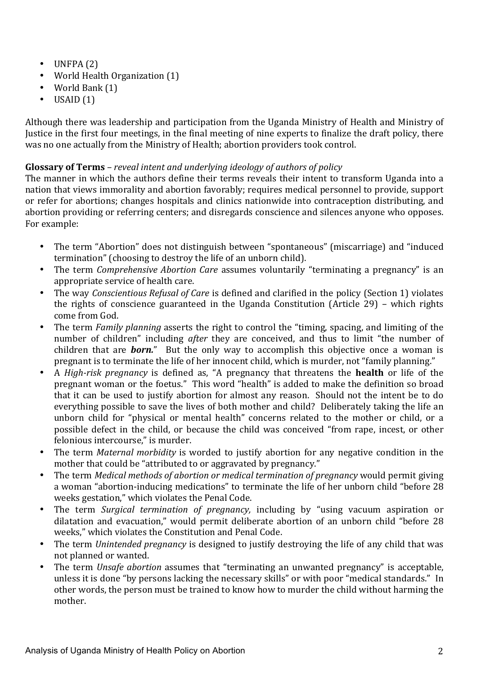- $\bullet$  UNFPA $(2)$
- World Health Organization (1)
- World Bank (1)
- $\bullet$  USAID  $(1)$

Although there was leadership and participation from the Uganda Ministry of Health and Ministry of Justice in the first four meetings, in the final meeting of nine experts to finalize the draft policy, there was no one actually from the Ministry of Health; abortion providers took control.

# **Glossary of Terms** – *reveal intent and underlying ideology of authors of policy*

The manner in which the authors define their terms reveals their intent to transform Uganda into a nation that views immorality and abortion favorably; requires medical personnel to provide, support or refer for abortions; changes hospitals and clinics nationwide into contraception distributing, and abortion providing or referring centers; and disregards conscience and silences anyone who opposes. For example:

- The term "Abortion" does not distinguish between "spontaneous" (miscarriage) and "induced termination" (choosing to destroy the life of an unborn child).
- The term *Comprehensive Abortion Care* assumes voluntarily "terminating a pregnancy" is an appropriate service of health care.
- The way *Conscientious Refusal of Care* is defined and clarified in the policy (Section 1) violates the rights of conscience guaranteed in the Uganda Constitution (Article  $29$ ) – which rights come from God.
- The term *Family planning* asserts the right to control the "timing, spacing, and limiting of the number of children" including *after* they are conceived, and thus to limit "the number of children that are *born.*" But the only way to accomplish this objective once a woman is pregnant is to terminate the life of her innocent child, which is murder, not "family planning."
- A *High-risk pregnancy* is defined as, "A pregnancy that threatens the **health** or life of the pregnant woman or the foetus." This word "health" is added to make the definition so broad that it can be used to justify abortion for almost any reason. Should not the intent be to do everything possible to save the lives of both mother and child? Deliberately taking the life an unborn child for "physical or mental health" concerns related to the mother or child, or a possible defect in the child, or because the child was conceived "from rape, incest, or other felonious intercourse," is murder.
- The term *Maternal morbidity* is worded to justify abortion for any negative condition in the mother that could be "attributed to or aggravated by pregnancy."
- The term *Medical methods of abortion or medical termination of pregnancy* would permit giving a woman "abortion-inducing medications" to terminate the life of her unborn child "before 28 weeks gestation," which violates the Penal Code.
- The term *Surgical termination of pregnancy*, including by "using vacuum aspiration or dilatation and evacuation," would permit deliberate abortion of an unborn child "before 28 weeks," which violates the Constitution and Penal Code.
- The term *Unintended pregnancy* is designed to justify destroying the life of any child that was not planned or wanted.
- The term *Unsafe abortion* assumes that "terminating an unwanted pregnancy" is acceptable, unless it is done "by persons lacking the necessary skills" or with poor "medical standards." In other words, the person must be trained to know how to murder the child without harming the mother.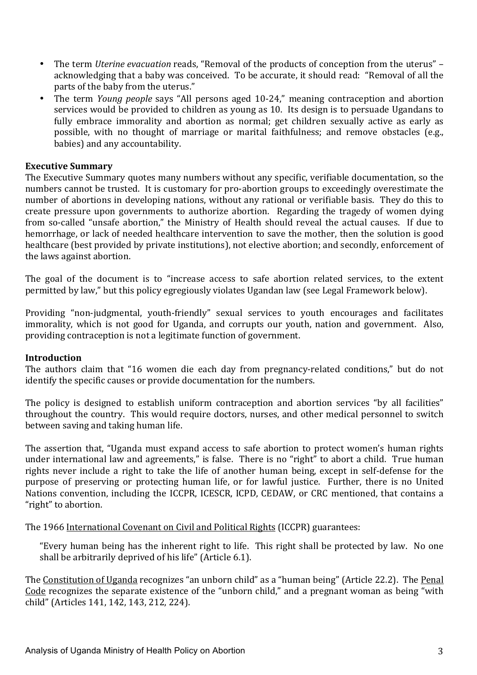- The term *Uterine evacuation* reads, "Removal of the products of conception from the uterus" acknowledging that a baby was conceived. To be accurate, it should read: "Removal of all the parts of the baby from the uterus."
- The term *Young people* says "All persons aged 10-24," meaning contraception and abortion services would be provided to children as young as 10. Its design is to persuade Ugandans to fully embrace immorality and abortion as normal; get children sexually active as early as possible, with no thought of marriage or marital faithfulness; and remove obstacles (e.g., babies) and any accountability.

#### **Executive Summary**

The Executive Summary quotes many numbers without any specific, verifiable documentation, so the numbers cannot be trusted. It is customary for pro-abortion groups to exceedingly overestimate the number of abortions in developing nations, without any rational or verifiable basis. They do this to create pressure upon governments to authorize abortion. Regarding the tragedy of women dying from so-called "unsafe abortion," the Ministry of Health should reveal the actual causes. If due to hemorrhage, or lack of needed healthcare intervention to save the mother, then the solution is good healthcare (best provided by private institutions), not elective abortion; and secondly, enforcement of the laws against abortion.

The goal of the document is to "increase access to safe abortion related services, to the extent permitted by law," but this policy egregiously violates Ugandan law (see Legal Framework below).

Providing "non-judgmental, youth-friendly" sexual services to youth encourages and facilitates immorality, which is not good for Uganda, and corrupts our youth, nation and government. Also, providing contraception is not a legitimate function of government.

#### **Introduction**

The authors claim that "16 women die each day from pregnancy-related conditions," but do not identify the specific causes or provide documentation for the numbers.

The policy is designed to establish uniform contraception and abortion services "by all facilities" throughout the country. This would require doctors, nurses, and other medical personnel to switch between saving and taking human life.

The assertion that, "Uganda must expand access to safe abortion to protect women's human rights under international law and agreements," is false. There is no "right" to abort a child. True human rights never include a right to take the life of another human being, except in self-defense for the purpose of preserving or protecting human life, or for lawful justice. Further, there is no United Nations convention, including the ICCPR, ICESCR, ICPD, CEDAW, or CRC mentioned, that contains a "right" to abortion.

The 1966 International Covenant on Civil and Political Rights (ICCPR) guarantees:

"Everv human being has the inherent right to life. This right shall be protected by law. No one shall be arbitrarily deprived of his life" (Article 6.1).

The Constitution of Uganda recognizes "an unborn child" as a "human being" (Article 22.2). The Penal Code recognizes the separate existence of the "unborn child," and a pregnant woman as being "with child" (Articles 141, 142, 143, 212, 224).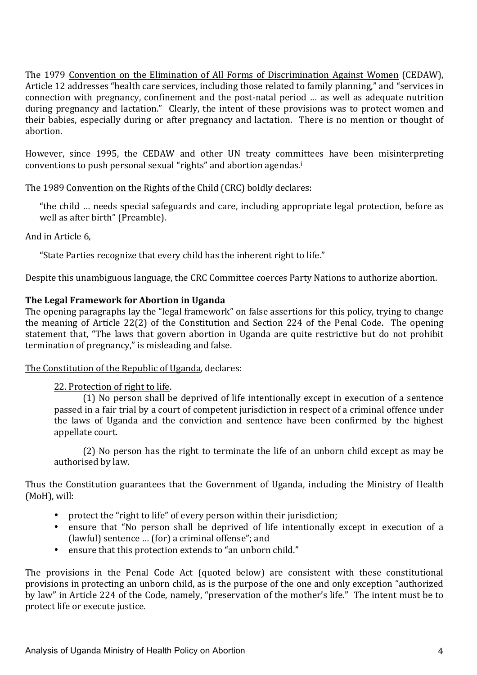The 1979 Convention on the Elimination of All Forms of Discrimination Against Women (CEDAW), Article 12 addresses "health care services, including those related to family planning," and "services in connection with pregnancy, confinement and the post-natal period ... as well as adequate nutrition during pregnancy and lactation." Clearly, the intent of these provisions was to protect women and their babies, especially during or after pregnancy and lactation. There is no mention or thought of abortion. 

However, since 1995, the CEDAW and other UN treaty committees have been misinterpreting conventions to push personal sexual "rights" and abortion agendas.<sup>i</sup>

The 1989 Convention on the Rights of the Child (CRC) boldly declares:

"the child ... needs special safeguards and care, including appropriate legal protection, before as well as after birth" (Preamble).

And in Article 6.

"State Parties recognize that every child has the inherent right to life."

Despite this unambiguous language, the CRC Committee coerces Party Nations to authorize abortion.

# **The Legal Framework for Abortion in Uganda**

The opening paragraphs lay the "legal framework" on false assertions for this policy, trying to change the meaning of Article  $22(2)$  of the Constitution and Section 224 of the Penal Code. The opening statement that, "The laws that govern abortion in Uganda are quite restrictive but do not prohibit termination of pregnancy," is misleading and false.

#### The Constitution of the Republic of Uganda, declares:

# 22. Protection of right to life.

(1) No person shall be deprived of life intentionally except in execution of a sentence passed in a fair trial by a court of competent jurisdiction in respect of a criminal offence under the laws of Uganda and the conviction and sentence have been confirmed by the highest appellate court.

(2) No person has the right to terminate the life of an unborn child except as may be authorised by law.

Thus the Constitution guarantees that the Government of Uganda, including the Ministry of Health (MoH), will:

- protect the "right to life" of every person within their jurisdiction;
- ensure that "No person shall be deprived of life intentionally except in execution of a (lawful) sentence ... (for) a criminal offense"; and
- ensure that this protection extends to "an unborn child."

The provisions in the Penal Code Act (quoted below) are consistent with these constitutional provisions in protecting an unborn child, as is the purpose of the one and only exception "authorized by law" in Article 224 of the Code, namely, "preservation of the mother's life." The intent must be to protect life or execute justice.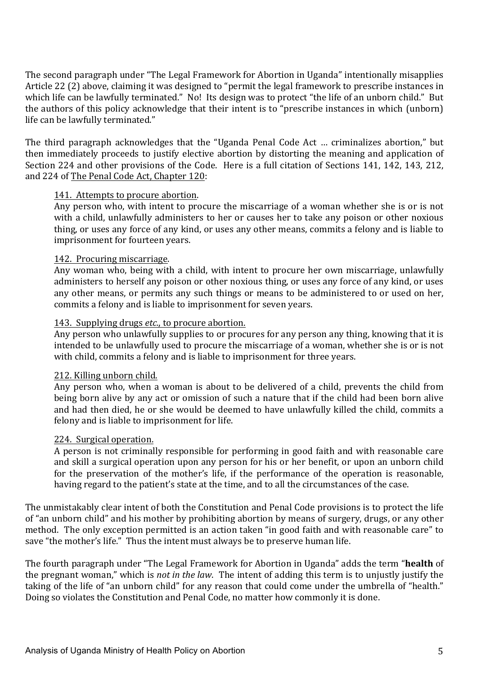The second paragraph under "The Legal Framework for Abortion in Uganda" intentionally misapplies Article 22 (2) above, claiming it was designed to "permit the legal framework to prescribe instances in which life can be lawfully terminated." No! Its design was to protect "the life of an unborn child." But the authors of this policy acknowledge that their intent is to "prescribe instances in which (unborn) life can be lawfully terminated."

The third paragraph acknowledges that the "Uganda Penal Code Act ... criminalizes abortion," but then immediately proceeds to justify elective abortion by distorting the meaning and application of Section 224 and other provisions of the Code. Here is a full citation of Sections 141, 142, 143, 212, and 224 of The Penal Code Act, Chapter 120:

#### 141. Attempts to procure abortion.

Any person who, with intent to procure the miscarriage of a woman whether she is or is not with a child, unlawfully administers to her or causes her to take any poison or other noxious thing, or uses any force of any kind, or uses any other means, commits a felony and is liable to imprisonment for fourteen years.

#### 142. Procuring miscarriage.

Any woman who, being with a child, with intent to procure her own miscarriage, unlawfully administers to herself any poison or other noxious thing, or uses any force of any kind, or uses any other means, or permits any such things or means to be administered to or used on her, commits a felony and is liable to imprisonment for seven years.

#### 143. Supplying drugs *etc.*, to procure abortion.

Any person who unlawfully supplies to or procures for any person any thing, knowing that it is intended to be unlawfully used to procure the miscarriage of a woman, whether she is or is not with child, commits a felony and is liable to imprisonment for three years.

#### 212. Killing unborn child.

Any person who, when a woman is about to be delivered of a child, prevents the child from being born alive by any act or omission of such a nature that if the child had been born alive and had then died, he or she would be deemed to have unlawfully killed the child, commits a felony and is liable to imprisonment for life.

#### 224. Surgical operation.

A person is not criminally responsible for performing in good faith and with reasonable care and skill a surgical operation upon any person for his or her benefit, or upon an unborn child for the preservation of the mother's life, if the performance of the operation is reasonable, having regard to the patient's state at the time, and to all the circumstances of the case.

The unmistakably clear intent of both the Constitution and Penal Code provisions is to protect the life of "an unborn child" and his mother by prohibiting abortion by means of surgery, drugs, or any other method. The only exception permitted is an action taken "in good faith and with reasonable care" to save "the mother's life." Thus the intent must always be to preserve human life.

The fourth paragraph under "The Legal Framework for Abortion in Uganda" adds the term "**health** of the pregnant woman," which is *not in the law*. The intent of adding this term is to unjustly justify the taking of the life of "an unborn child" for any reason that could come under the umbrella of "health." Doing so violates the Constitution and Penal Code, no matter how commonly it is done.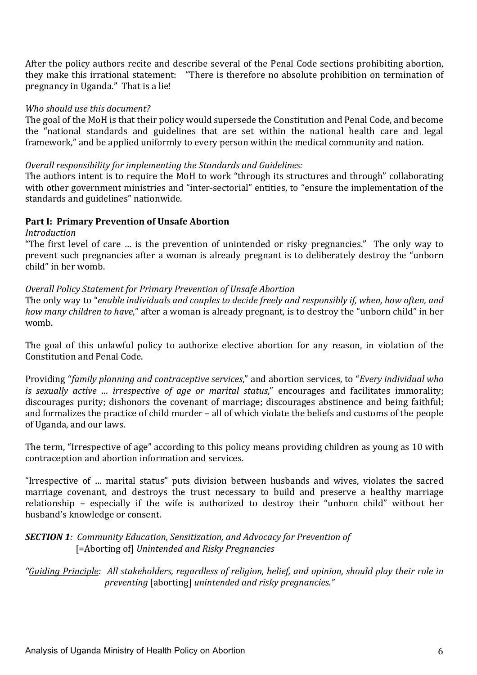After the policy authors recite and describe several of the Penal Code sections prohibiting abortion, they make this irrational statement: "There is therefore no absolute prohibition on termination of pregnancy in Uganda." That is a lie!

#### Who should use this document?

The goal of the MoH is that their policy would supersede the Constitution and Penal Code, and become the "national standards and guidelines that are set within the national health care and legal framework," and be applied uniformly to every person within the medical community and nation.

#### *Overall responsibility for implementing the Standards and Guidelines:*

The authors intent is to require the MoH to work "through its structures and through" collaborating with other government ministries and "inter-sectorial" entities, to "ensure the implementation of the standards and guidelines" nationwide.

#### Part I: Primary Prevention of Unsafe Abortion

*Introduction*

"The first level of care  $\ldots$  is the prevention of unintended or risky pregnancies." The only way to prevent such pregnancies after a woman is already pregnant is to deliberately destroy the "unborn child" in her womb.

#### **Overall Policy Statement for Primary Prevention of Unsafe Abortion**

The only way to "enable individuals and couples to decide freely and responsibly if, when, how often, and *how* many children to have," after a woman is already pregnant, is to destroy the "unborn child" in her womb. 

The goal of this unlawful policy to authorize elective abortion for any reason, in violation of the Constitution and Penal Code.

Providing "*family planning and contraceptive services*," and abortion services, to "*Every individual who is* sexually active *…* irrespective of age or marital status," encourages and facilitates immorality; discourages purity; dishonors the covenant of marriage; discourages abstinence and being faithful; and formalizes the practice of child murder – all of which violate the beliefs and customs of the people of Uganda, and our laws.

The term, "Irrespective of age" according to this policy means providing children as young as 10 with contraception and abortion information and services.

"Irrespective of ... marital status" puts division between husbands and wives, violates the sacred marriage covenant, and destroys the trust necessary to build and preserve a healthy marriage relationship - especially if the wife is authorized to destroy their "unborn child" without her husband's knowledge or consent.

#### **SECTION 1***:* Community Education, Sensitization, and Advocacy for Prevention of [=Aborting of] *Unintended and Risky Pregnancies*

*"Guiding Principle: All stakeholders, regardless of religion, belief, and opinion, should play their role in preventing* [aborting] *unintended and risky pregnancies."*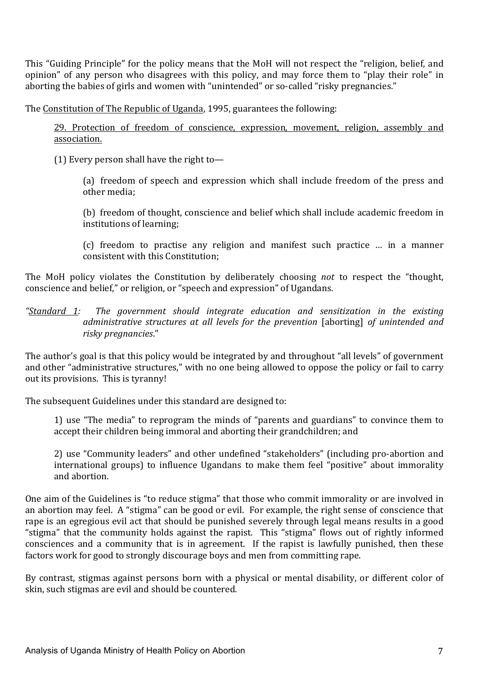This "Guiding Principle" for the policy means that the MoH will not respect the "religion, belief, and opinion" of any person who disagrees with this policy, and may force them to "play their role" in aborting the babies of girls and women with "unintended" or so-called "risky pregnancies."

The Constitution of The Republic of Uganda, 1995, guarantees the following:

29. Protection of freedom of conscience, expression, movement, religion, assembly and association.

(1) Every person shall have the right to-

(a) freedom of speech and expression which shall include freedom of the press and other media:

(b) freedom of thought, conscience and belief which shall include academic freedom in institutions of learning;

(c) freedom to practise any religion and manifest such practice ... in a manner consistent with this Constitution:

The MoH policy violates the Constitution by deliberately choosing *not* to respect the "thought, conscience and belief," or religion, or "speech and expression" of Ugandans.

*"Standard 1: The government should integrate education and sensitization in the existing administrative structures at all levels for the prevention* [aborting] *of unintended and risky pregnancies*." 

The author's goal is that this policy would be integrated by and throughout "all levels" of government and other "administrative structures," with no one being allowed to oppose the policy or fail to carry out its provisions. This is tyranny!

The subsequent Guidelines under this standard are designed to:

1) use "The media" to reprogram the minds of "parents and guardians" to convince them to accept their children being immoral and aborting their grandchildren; and

2) use "Community leaders" and other undefined "stakeholders" (including pro-abortion and international groups) to influence Ugandans to make them feel "positive" about immorality and abortion.

One aim of the Guidelines is "to reduce stigma" that those who commit immorality or are involved in an abortion may feel. A "stigma" can be good or evil. For example, the right sense of conscience that rape is an egregious evil act that should be punished severely through legal means results in a good "stigma" that the community holds against the rapist. This "stigma" flows out of rightly informed consciences and a community that is in agreement. If the rapist is lawfully punished, then these factors work for good to strongly discourage boys and men from committing rape.

By contrast, stigmas against persons born with a physical or mental disability, or different color of skin, such stigmas are evil and should be countered.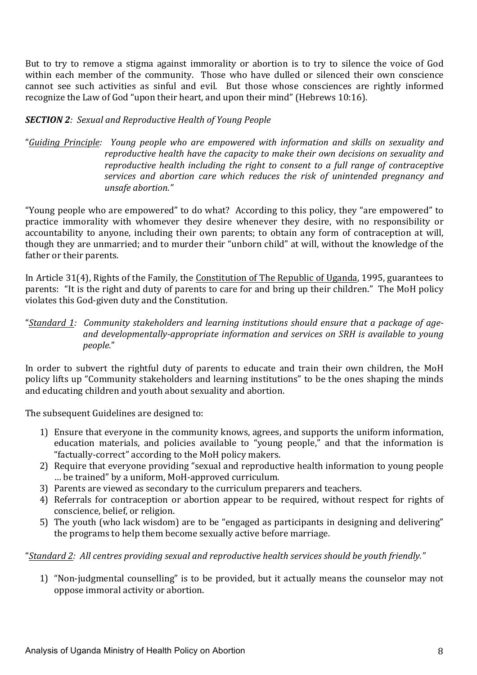But to try to remove a stigma against immorality or abortion is to try to silence the voice of God within each member of the community. Those who have dulled or silenced their own conscience cannot see such activities as sinful and evil. But those whose consciences are rightly informed recognize the Law of God "upon their heart, and upon their mind" (Hebrews  $10:16$ ).

# **SECTION 2***:* Sexual and Reproductive Health of Young People

"*Guiding Principle: Young people who are empowered with information and skills on sexuality and reproductive health have the capacity to make their own decisions on sexuality and reproductive health including the right to consent to a full range of contraceptive services* and abortion care which reduces the risk of unintended pregnancy and *unsafe abortion."* 

"Young people who are empowered" to do what? According to this policy, they "are empowered" to practice immorality with whomever they desire whenever they desire, with no responsibility or accountability to anyone, including their own parents; to obtain any form of contraception at will, though they are unmarried; and to murder their "unborn child" at will, without the knowledge of the father or their parents.

In Article 31(4), Rights of the Family, the Constitution of The Republic of Uganda, 1995, guarantees to parents: "It is the right and duty of parents to care for and bring up their children." The MoH policy violates this God-given duty and the Constitution.

"Standard 1: Community stakeholders and learning institutions should ensure that a package of ageand developmentally-appropriate information and services on SRH is available to young *people*." 

In order to subvert the rightful duty of parents to educate and train their own children, the MoH policy lifts up "Community stakeholders and learning institutions" to be the ones shaping the minds and educating children and youth about sexuality and abortion.

The subsequent Guidelines are designed to:

- 1) Ensure that everyone in the community knows, agrees, and supports the uniform information, education materials, and policies available to "young people," and that the information is "factually-correct" according to the MoH policy makers.
- 2) Require that everyone providing "sexual and reproductive health information to young people ... be trained" by a uniform, MoH-approved curriculum.
- 3) Parents are viewed as secondary to the curriculum preparers and teachers.
- 4) Referrals for contraception or abortion appear to be required, without respect for rights of conscience, belief, or religion.
- 5) The youth (who lack wisdom) are to be "engaged as participants in designing and delivering" the programs to help them become sexually active before marriage.

"Standard 2: All centres providing sexual and reproductive health services should be youth friendly."

1) "Non-judgmental counselling" is to be provided, but it actually means the counselor may not oppose immoral activity or abortion.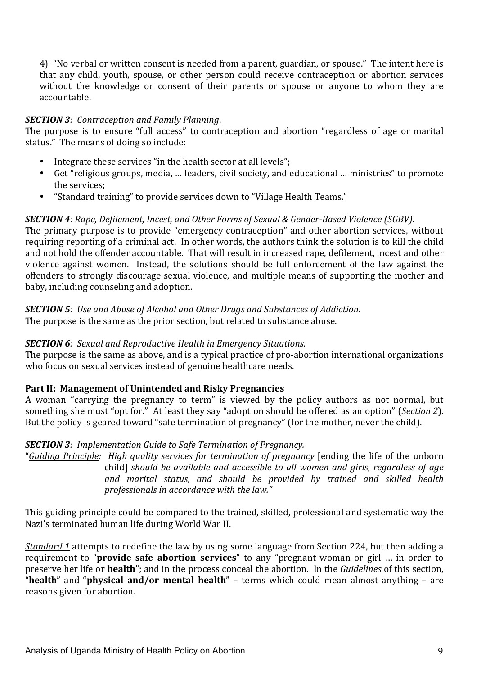4) "No verbal or written consent is needed from a parent, guardian, or spouse." The intent here is that any child, youth, spouse, or other person could receive contraception or abortion services without the knowledge or consent of their parents or spouse or anyone to whom they are accountable. 

#### *SECTION 3: Contraception and Family Planning.*

The purpose is to ensure "full access" to contraception and abortion "regardless of age or marital status." The means of doing so include:

- Integrate these services "in the health sector at all levels";
- Get "religious groups, media, ... leaders, civil society, and educational ... ministries" to promote the services:
- "Standard training" to provide services down to "Village Health Teams."

#### **SECTION** 4: Rape, Defilement, Incest, and Other Forms of Sexual & Gender-Based Violence (SGBV).

The primary purpose is to provide "emergency contraception" and other abortion services, without requiring reporting of a criminal act. In other words, the authors think the solution is to kill the child and not hold the offender accountable. That will result in increased rape, defilement, incest and other violence against women. Instead, the solutions should be full enforcement of the law against the offenders to strongly discourage sexual violence, and multiple means of supporting the mother and baby, including counseling and adoption.

**SECTION 5**: Use and Abuse of Alcohol and Other Drugs and Substances of Addiction. The purpose is the same as the prior section, but related to substance abuse.

#### **SECTION 6***:* Sexual and Reproductive Health in Emergency Situations.

The purpose is the same as above, and is a typical practice of pro-abortion international organizations who focus on sexual services instead of genuine healthcare needs.

#### Part II: Management of Unintended and Risky Pregnancies

A woman "carrying the pregnancy to term" is viewed by the policy authors as not normal, but something she must "opt for." At least they say "adoption should be offered as an option" (*Section 2*). But the policy is geared toward "safe termination of pregnancy" (for the mother, never the child).

#### **SECTION 3**: Implementation Guide to Safe Termination of Pregnancy.

"*Guiding Principle: High quality services for termination of pregnancy* [ending the life of the unborn child] *should be available and accessible to all women and girls, regardless of age* and marital status, and should be provided by trained and skilled health *professionals in accordance with the law.*"

This guiding principle could be compared to the trained, skilled, professional and systematic way the Nazi's terminated human life during World War II.

*Standard* 1 attempts to redefine the law by using some language from Section 224, but then adding a requirement to "**provide safe abortion services**" to any "pregnant woman or girl ... in order to preserve her life or **health**"; and in the process conceal the abortion. In the *Guidelines* of this section, "health" and "physical and/or mental health" – terms which could mean almost anything – are reasons given for abortion.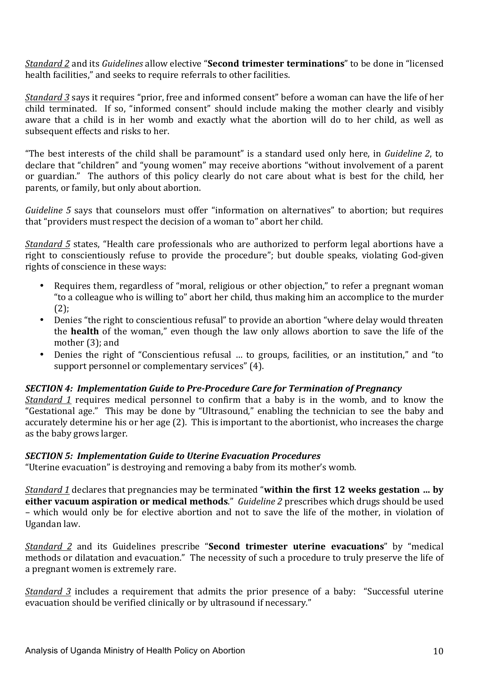*Standard 2* and its *Guidelines* allow elective "**Second trimester terminations**" to be done in "licensed health facilities," and seeks to require referrals to other facilities.

*Standard* 3 says it requires "prior, free and informed consent" before a woman can have the life of her child terminated. If so, "informed consent" should include making the mother clearly and visibly aware that a child is in her womb and exactly what the abortion will do to her child, as well as subsequent effects and risks to her.

"The best interests of the child shall be paramount" is a standard used only here, in *Guideline 2*, to declare that "children" and "young women" may receive abortions "without involvement of a parent or guardian." The authors of this policy clearly do not care about what is best for the child, her parents, or family, but only about abortion.

*Guideline* 5 says that counselors must offer "information on alternatives" to abortion; but requires that "providers must respect the decision of a woman to" abort her child.

*Standard* 5 states, "Health care professionals who are authorized to perform legal abortions have a right to conscientiously refuse to provide the procedure"; but double speaks, violating God-given rights of conscience in these ways:

- Requires them, regardless of "moral, religious or other objection," to refer a pregnant woman " to a colleague who is willing to" abort her child, thus making him an accomplice to the murder  $(2)$ ;
- Denies "the right to conscientious refusal" to provide an abortion "where delay would threaten the **health** of the woman," even though the law only allows abortion to save the life of the mother  $(3)$ ; and
- Denies the right of "Conscientious refusal ... to groups, facilities, or an institution," and "to support personnel or complementary services" (4).

#### **SECTION** 4: Implementation Guide to Pre-Procedure Care for Termination of Pregnancy

*Standard 1* requires medical personnel to confirm that a baby is in the womb, and to know the "Gestational age." This may be done by "Ultrasound," enabling the technician to see the baby and accurately determine his or her age (2). This is important to the abortionist, who increases the charge as the baby grows larger.

#### **SECTION 5: Implementation Guide to Uterine Evacuation Procedures**

"Uterine evacuation" is destroying and removing a baby from its mother's womb.

*Standard* 1 declares that pregnancies may be terminated "within the first 12 weeks gestation ... by **either vacuum aspiration or medical methods**." *Guideline 2* prescribes which drugs should be used – which would only be for elective abortion and not to save the life of the mother, in violation of Ugandan law.

*Standard* 2 and its Guidelines prescribe "**Second trimester uterine evacuations**" by "medical methods or dilatation and evacuation." The necessity of such a procedure to truly preserve the life of a pregnant women is extremely rare.

*Standard* 3 includes a requirement that admits the prior presence of a baby: "Successful uterine evacuation should be verified clinically or by ultrasound if necessary."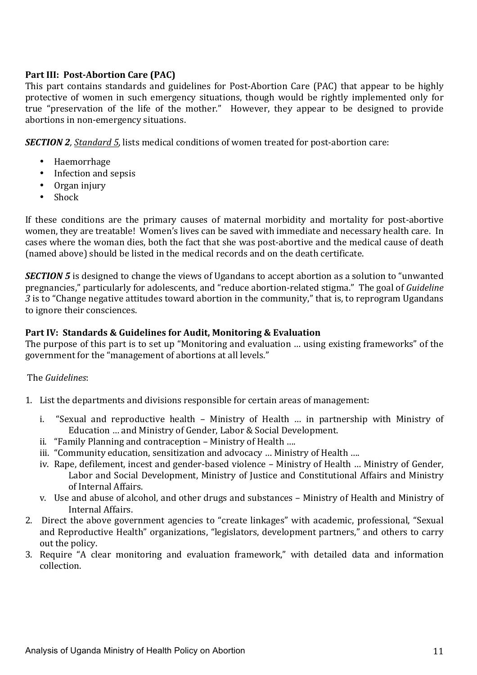# **Part III: Post-Abortion Care (PAC)**

This part contains standards and guidelines for Post-Abortion Care (PAC) that appear to be highly protective of women in such emergency situations, though would be rightly implemented only for true "preservation of the life of the mother." However, they appear to be designed to provide abortions in non-emergency situations.

**SECTION** 2, Standard 5, lists medical conditions of women treated for post-abortion care:

- Haemorrhage
- Infection and sepsis
- Organ injury
- Shock

If these conditions are the primary causes of maternal morbidity and mortality for post-abortive women, they are treatable! Women's lives can be saved with immediate and necessary health care. In cases where the woman dies, both the fact that she was post-abortive and the medical cause of death (named above) should be listed in the medical records and on the death certificate.

*SECTION* 5 is designed to change the views of Ugandans to accept abortion as a solution to "unwanted" pregnancies," particularly for adolescents, and "reduce abortion-related stigma." The goal of *Guideline 3* is to "Change negative attitudes toward abortion in the community," that is, to reprogram Ugandans to ignore their consciences.

#### **Part IV: Standards & Guidelines for Audit, Monitoring & Evaluation**

The purpose of this part is to set up "Monitoring and evaluation ... using existing frameworks" of the government for the "management of abortions at all levels."

#### The *Guidelines*:

- 1. List the departments and divisions responsible for certain areas of management:
	- i. "Sexual and reproductive health Ministry of Health ... in partnership with Ministry of Education ... and Ministry of Gender, Labor & Social Development.
	- ii. "Family Planning and contraception Ministry of Health ....
	- iii. "Community education, sensitization and advocacy ... Ministry of Health ....
	- iv. Rape, defilement, incest and gender-based violence Ministry of Health ... Ministry of Gender, Labor and Social Development, Ministry of Justice and Constitutional Affairs and Ministry of Internal Affairs.
	- v. Use and abuse of alcohol, and other drugs and substances Ministry of Health and Ministry of Internal Affairs.
- 2. Direct the above government agencies to "create linkages" with academic, professional, "Sexual and Reproductive Health" organizations, "legislators, development partners," and others to carry out the policy.
- 3. Require "A clear monitoring and evaluation framework," with detailed data and information collection.